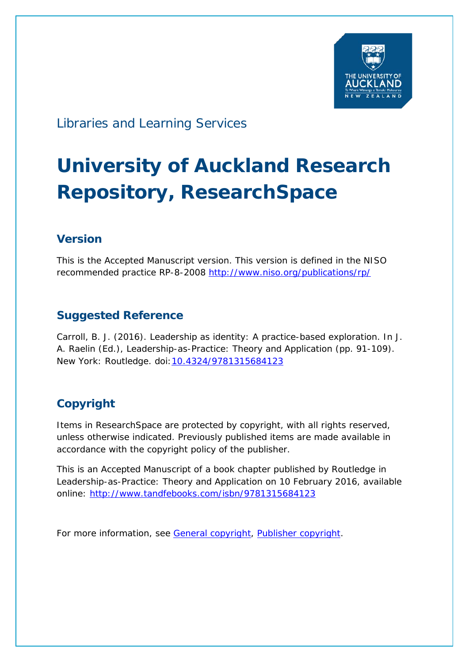

# Libraries and Learning Services

# **University of Auckland Research Repository, ResearchSpace**

# **Version**

This is the Accepted Manuscript version. This version is defined in the NISO recommended practice RP-8-2008<http://www.niso.org/publications/rp/>

# **Suggested Reference**

Carroll, B. J. (2016). Leadership as identity: A practice-based exploration. In J. A. Raelin (Ed.), *Leadership-as-Practice: Theory and Application* (pp. 91-109). New York: Routledge. doi[:10.4324/9781315684123](http://dx.doi.org/10.4324/9781315684123)

# **Copyright**

Items in ResearchSpace are protected by copyright, with all rights reserved, unless otherwise indicated. Previously published items are made available in accordance with the copyright policy of the publisher.

This is an Accepted Manuscript of a book chapter published by Routledge in *Leadership-as-Practice: Theory and Application* on 10 February 2016, available online:<http://www.tandfebooks.com/isbn/9781315684123>

For more information, see [General copyright,](http://www.library.auckland.ac.nz/services/research-support/depositing-theses/copyright) [Publisher copyright.](https://s3-us-west-2.amazonaws.com/tandfbis/rt-files/docs/Routledge+T%26F+Policies+for+Open+Access+Book+Chapters+FINAL.pdf)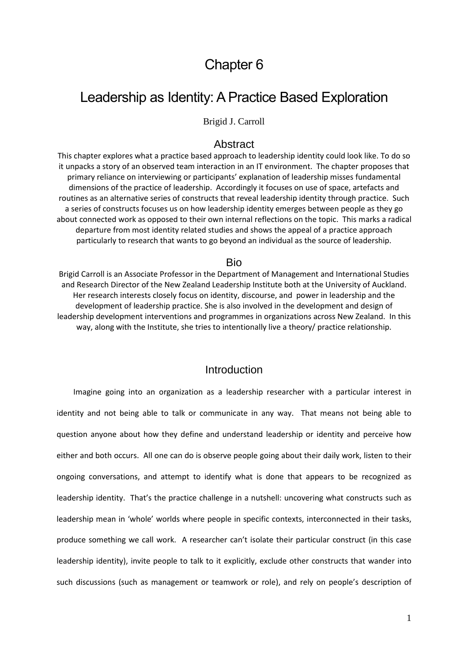# Chapter 6

# Leadership as Identity: A Practice Based Exploration

Brigid J. Carroll

## Abstract

This chapter explores what a practice based approach to leadership identity could look like. To do so it unpacks a story of an observed team interaction in an IT environment. The chapter proposes that primary reliance on interviewing or participants' explanation of leadership misses fundamental dimensions of the practice of leadership. Accordingly it focuses on use of space, artefacts and routines as an alternative series of constructs that reveal leadership identity through practice. Such a series of constructs focuses us on how leadership identity emerges between people as they go about connected work as opposed to their own internal reflections on the topic. This marks a radical departure from most identity related studies and shows the appeal of a practice approach particularly to research that wants to go beyond an individual as the source of leadership.

### Bio

Brigid Carroll is an Associate Professor in the Department of Management and International Studies and Research Director of the New Zealand Leadership Institute both at the University of Auckland. Her research interests closely focus on identity, discourse, and power in leadership and the development of leadership practice. She is also involved in the development and design of leadership development interventions and programmes in organizations across New Zealand. In this way, along with the Institute, she tries to intentionally live a theory/ practice relationship.

# Introduction

Imagine going into an organization as a leadership researcher with a particular interest in identity and not being able to talk or communicate in any way. That means not being able to question anyone about how they define and understand leadership or identity and perceive how either and both occurs. All one can do is observe people going about their daily work, listen to their ongoing conversations, and attempt to identify what is done that appears to be recognized as leadership identity. That's the practice challenge in a nutshell: uncovering what constructs such as leadership mean in 'whole' worlds where people in specific contexts, interconnected in their tasks, produce something we call work. A researcher can't isolate their particular construct (in this case leadership identity), invite people to talk to it explicitly, exclude other constructs that wander into such discussions (such as management or teamwork or role), and rely on people's description of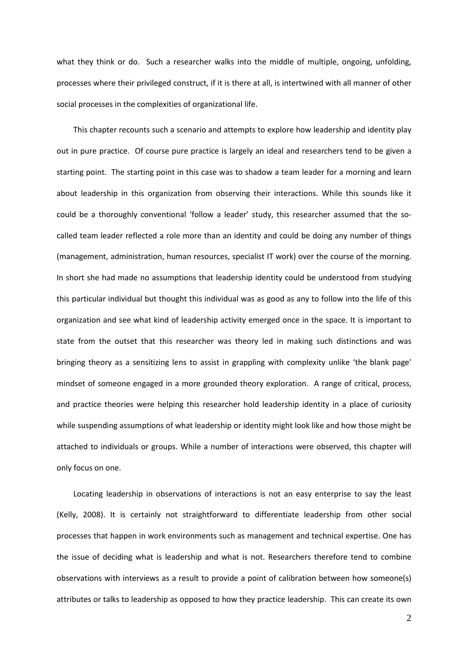what they think or do. Such a researcher walks into the middle of multiple, ongoing, unfolding, processes where their privileged construct, if it is there at all, is intertwined with all manner of other social processes in the complexities of organizational life.

This chapter recounts such a scenario and attempts to explore how leadership and identity play out in pure practice. Of course pure practice is largely an ideal and researchers tend to be given a starting point. The starting point in this case was to shadow a team leader for a morning and learn about leadership in this organization from observing their interactions. While this sounds like it could be a thoroughly conventional 'follow a leader' study, this researcher assumed that the socalled team leader reflected a role more than an identity and could be doing any number of things (management, administration, human resources, specialist IT work) over the course of the morning. In short she had made no assumptions that leadership identity could be understood from studying this particular individual but thought this individual was as good as any to follow into the life of this organization and see what kind of leadership activity emerged once in the space. It is important to state from the outset that this researcher was theory led in making such distinctions and was bringing theory as a sensitizing lens to assist in grappling with complexity unlike 'the blank page' mindset of someone engaged in a more grounded theory exploration. A range of critical, process, and practice theories were helping this researcher hold leadership identity in a place of curiosity while suspending assumptions of what leadership or identity might look like and how those might be attached to individuals or groups. While a number of interactions were observed, this chapter will only focus on one.

Locating leadership in observations of interactions is not an easy enterprise to say the least (Kelly, 2008). It is certainly not straightforward to differentiate leadership from other social processes that happen in work environments such as management and technical expertise. One has the issue of deciding what is leadership and what is not. Researchers therefore tend to combine observations with interviews as a result to provide a point of calibration between how someone(s) attributes or talks to leadership as opposed to how they practice leadership. This can create its own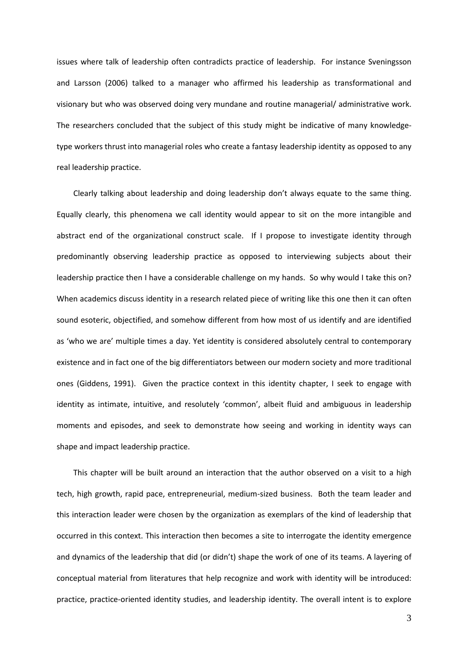issues where talk of leadership often contradicts practice of leadership. For instance Sveningsson and Larsson (2006) talked to a manager who affirmed his leadership as transformational and visionary but who was observed doing very mundane and routine managerial/ administrative work. The researchers concluded that the subject of this study might be indicative of many knowledgetype workers thrust into managerial roles who create a fantasy leadership identity as opposed to any real leadership practice.

Clearly talking about leadership and doing leadership don't always equate to the same thing. Equally clearly, this phenomena we call identity would appear to sit on the more intangible and abstract end of the organizational construct scale. If I propose to investigate identity through predominantly observing leadership practice as opposed to interviewing subjects about their leadership practice then I have a considerable challenge on my hands. So why would I take this on? When academics discuss identity in a research related piece of writing like this one then it can often sound esoteric, objectified, and somehow different from how most of us identify and are identified as 'who we are' multiple times a day. Yet identity is considered absolutely central to contemporary existence and in fact one of the big differentiators between our modern society and more traditional ones (Giddens, 1991). Given the practice context in this identity chapter, I seek to engage with identity as intimate, intuitive, and resolutely 'common', albeit fluid and ambiguous in leadership moments and episodes, and seek to demonstrate how seeing and working in identity ways can shape and impact leadership practice.

This chapter will be built around an interaction that the author observed on a visit to a high tech, high growth, rapid pace, entrepreneurial, medium-sized business. Both the team leader and this interaction leader were chosen by the organization as exemplars of the kind of leadership that occurred in this context. This interaction then becomes a site to interrogate the identity emergence and dynamics of the leadership that did (or didn't) shape the work of one of its teams. A layering of conceptual material from literatures that help recognize and work with identity will be introduced: practice, practice-oriented identity studies, and leadership identity. The overall intent is to explore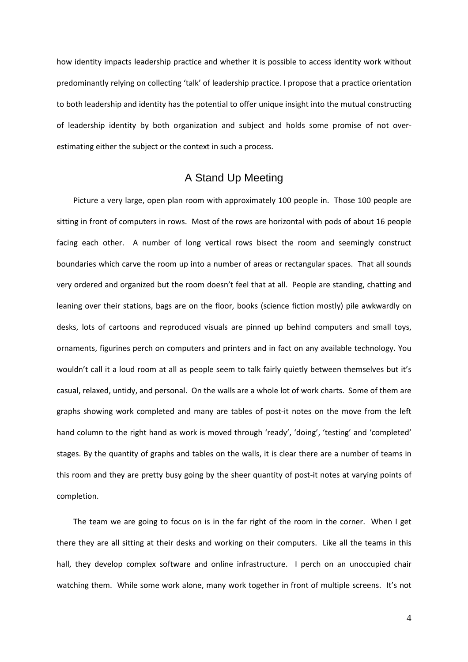how identity impacts leadership practice and whether it is possible to access identity work without predominantly relying on collecting 'talk' of leadership practice. I propose that a practice orientation to both leadership and identity has the potential to offer unique insight into the mutual constructing of leadership identity by both organization and subject and holds some promise of not overestimating either the subject or the context in such a process.

# A Stand Up Meeting

Picture a very large, open plan room with approximately 100 people in. Those 100 people are sitting in front of computers in rows. Most of the rows are horizontal with pods of about 16 people facing each other. A number of long vertical rows bisect the room and seemingly construct boundaries which carve the room up into a number of areas or rectangular spaces. That all sounds very ordered and organized but the room doesn't feel that at all. People are standing, chatting and leaning over their stations, bags are on the floor, books (science fiction mostly) pile awkwardly on desks, lots of cartoons and reproduced visuals are pinned up behind computers and small toys, ornaments, figurines perch on computers and printers and in fact on any available technology. You wouldn't call it a loud room at all as people seem to talk fairly quietly between themselves but it's casual, relaxed, untidy, and personal. On the walls are a whole lot of work charts. Some of them are graphs showing work completed and many are tables of post-it notes on the move from the left hand column to the right hand as work is moved through 'ready', 'doing', 'testing' and 'completed' stages. By the quantity of graphs and tables on the walls, it is clear there are a number of teams in this room and they are pretty busy going by the sheer quantity of post-it notes at varying points of completion.

The team we are going to focus on is in the far right of the room in the corner. When I get there they are all sitting at their desks and working on their computers. Like all the teams in this hall, they develop complex software and online infrastructure. I perch on an unoccupied chair watching them. While some work alone, many work together in front of multiple screens. It's not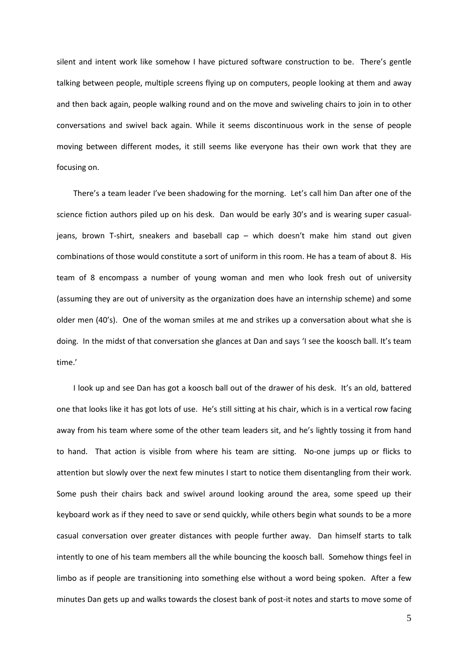silent and intent work like somehow I have pictured software construction to be. There's gentle talking between people, multiple screens flying up on computers, people looking at them and away and then back again, people walking round and on the move and swiveling chairs to join in to other conversations and swivel back again. While it seems discontinuous work in the sense of people moving between different modes, it still seems like everyone has their own work that they are focusing on.

There's a team leader I've been shadowing for the morning. Let's call him Dan after one of the science fiction authors piled up on his desk. Dan would be early 30's and is wearing super casualjeans, brown T-shirt, sneakers and baseball cap – which doesn't make him stand out given combinations of those would constitute a sort of uniform in this room. He has a team of about 8. His team of 8 encompass a number of young woman and men who look fresh out of university (assuming they are out of university as the organization does have an internship scheme) and some older men (40's). One of the woman smiles at me and strikes up a conversation about what she is doing. In the midst of that conversation she glances at Dan and says 'I see the koosch ball. It's team time.'

I look up and see Dan has got a koosch ball out of the drawer of his desk. It's an old, battered one that looks like it has got lots of use. He's still sitting at his chair, which is in a vertical row facing away from his team where some of the other team leaders sit, and he's lightly tossing it from hand to hand. That action is visible from where his team are sitting. No-one jumps up or flicks to attention but slowly over the next few minutes I start to notice them disentangling from their work. Some push their chairs back and swivel around looking around the area, some speed up their keyboard work as if they need to save or send quickly, while others begin what sounds to be a more casual conversation over greater distances with people further away. Dan himself starts to talk intently to one of his team members all the while bouncing the koosch ball. Somehow things feel in limbo as if people are transitioning into something else without a word being spoken. After a few minutes Dan gets up and walks towards the closest bank of post-it notes and starts to move some of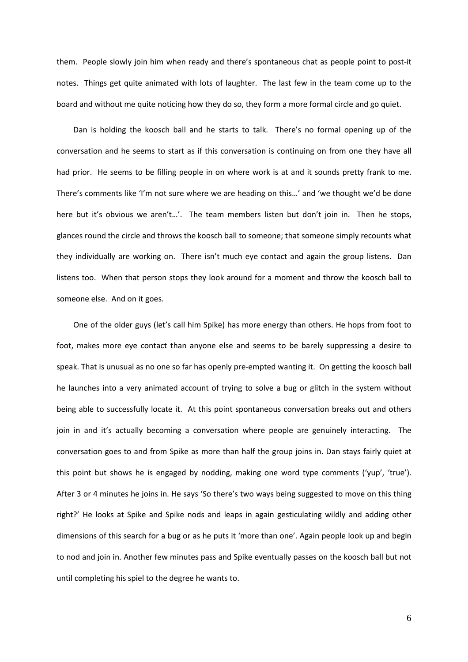them. People slowly join him when ready and there's spontaneous chat as people point to post-it notes. Things get quite animated with lots of laughter. The last few in the team come up to the board and without me quite noticing how they do so, they form a more formal circle and go quiet.

Dan is holding the koosch ball and he starts to talk. There's no formal opening up of the conversation and he seems to start as if this conversation is continuing on from one they have all had prior. He seems to be filling people in on where work is at and it sounds pretty frank to me. There's comments like 'I'm not sure where we are heading on this…' and 'we thought we'd be done here but it's obvious we aren't...'. The team members listen but don't join in. Then he stops, glances round the circle and throws the koosch ball to someone; that someone simply recounts what they individually are working on. There isn't much eye contact and again the group listens. Dan listens too. When that person stops they look around for a moment and throw the koosch ball to someone else. And on it goes.

One of the older guys (let's call him Spike) has more energy than others. He hops from foot to foot, makes more eye contact than anyone else and seems to be barely suppressing a desire to speak. That is unusual as no one so far has openly pre-empted wanting it. On getting the koosch ball he launches into a very animated account of trying to solve a bug or glitch in the system without being able to successfully locate it. At this point spontaneous conversation breaks out and others join in and it's actually becoming a conversation where people are genuinely interacting. The conversation goes to and from Spike as more than half the group joins in. Dan stays fairly quiet at this point but shows he is engaged by nodding, making one word type comments ('yup', 'true'). After 3 or 4 minutes he joins in. He says 'So there's two ways being suggested to move on this thing right?' He looks at Spike and Spike nods and leaps in again gesticulating wildly and adding other dimensions of this search for a bug or as he puts it 'more than one'. Again people look up and begin to nod and join in. Another few minutes pass and Spike eventually passes on the koosch ball but not until completing his spiel to the degree he wants to.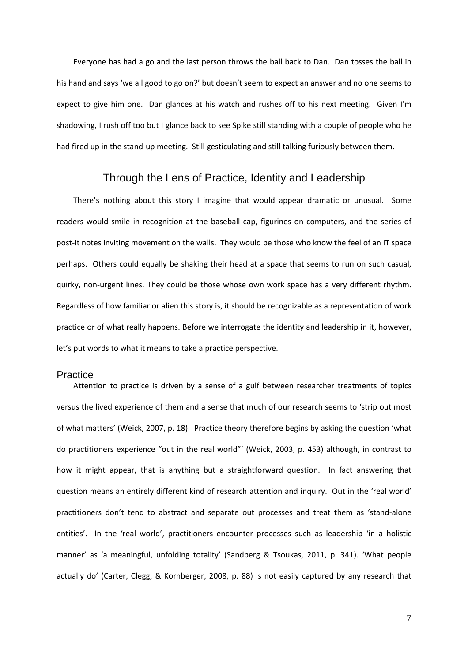Everyone has had a go and the last person throws the ball back to Dan. Dan tosses the ball in his hand and says 'we all good to go on?' but doesn't seem to expect an answer and no one seems to expect to give him one. Dan glances at his watch and rushes off to his next meeting. Given I'm shadowing, I rush off too but I glance back to see Spike still standing with a couple of people who he had fired up in the stand-up meeting. Still gesticulating and still talking furiously between them.

## Through the Lens of Practice, Identity and Leadership

There's nothing about this story I imagine that would appear dramatic or unusual. Some readers would smile in recognition at the baseball cap, figurines on computers, and the series of post-it notes inviting movement on the walls. They would be those who know the feel of an IT space perhaps. Others could equally be shaking their head at a space that seems to run on such casual, quirky, non-urgent lines. They could be those whose own work space has a very different rhythm. Regardless of how familiar or alien this story is, it should be recognizable as a representation of work practice or of what really happens. Before we interrogate the identity and leadership in it, however, let's put words to what it means to take a practice perspective.

### **Practice**

Attention to practice is driven by a sense of a gulf between researcher treatments of topics versus the lived experience of them and a sense that much of our research seems to 'strip out most of what matters' (Weick, 2007, p. 18). Practice theory therefore begins by asking the question 'what do practitioners experience "out in the real world"' (Weick, 2003, p. 453) although, in contrast to how it might appear, that is anything but a straightforward question. In fact answering that question means an entirely different kind of research attention and inquiry. Out in the 'real world' practitioners don't tend to abstract and separate out processes and treat them as 'stand-alone entities'. In the 'real world', practitioners encounter processes such as leadership 'in a holistic manner' as 'a meaningful, unfolding totality' (Sandberg & Tsoukas, 2011, p. 341). 'What people actually do' (Carter, Clegg, & Kornberger, 2008, p. 88) is not easily captured by any research that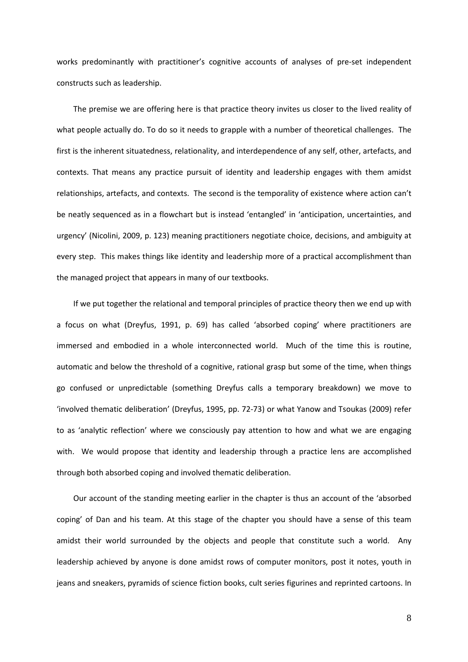works predominantly with practitioner's cognitive accounts of analyses of pre-set independent constructs such as leadership.

The premise we are offering here is that practice theory invites us closer to the lived reality of what people actually do. To do so it needs to grapple with a number of theoretical challenges. The first is the inherent situatedness, relationality, and interdependence of any self, other, artefacts, and contexts. That means any practice pursuit of identity and leadership engages with them amidst relationships, artefacts, and contexts. The second is the temporality of existence where action can't be neatly sequenced as in a flowchart but is instead 'entangled' in 'anticipation, uncertainties, and urgency' (Nicolini, 2009, p. 123) meaning practitioners negotiate choice, decisions, and ambiguity at every step. This makes things like identity and leadership more of a practical accomplishment than the managed project that appears in many of our textbooks.

If we put together the relational and temporal principles of practice theory then we end up with a focus on what (Dreyfus, 1991, p. 69) has called 'absorbed coping' where practitioners are immersed and embodied in a whole interconnected world. Much of the time this is routine, automatic and below the threshold of a cognitive, rational grasp but some of the time, when things go confused or unpredictable (something Dreyfus calls a temporary breakdown) we move to 'involved thematic deliberation' (Dreyfus, 1995, pp. 72-73) or what Yanow and Tsoukas (2009) refer to as 'analytic reflection' where we consciously pay attention to how and what we are engaging with. We would propose that identity and leadership through a practice lens are accomplished through both absorbed coping and involved thematic deliberation.

Our account of the standing meeting earlier in the chapter is thus an account of the 'absorbed coping' of Dan and his team. At this stage of the chapter you should have a sense of this team amidst their world surrounded by the objects and people that constitute such a world. Any leadership achieved by anyone is done amidst rows of computer monitors, post it notes, youth in jeans and sneakers, pyramids of science fiction books, cult series figurines and reprinted cartoons. In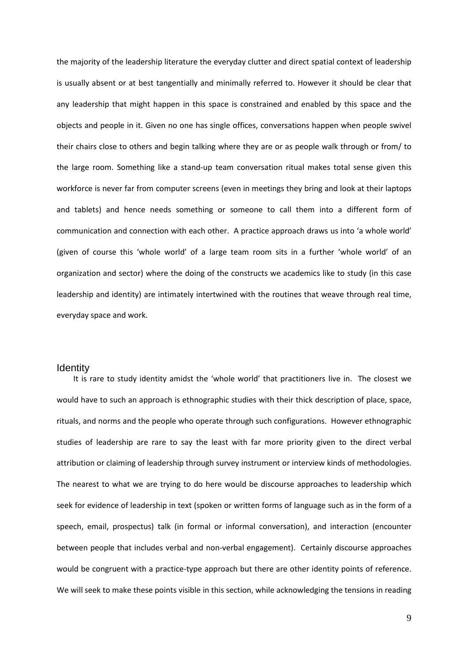the majority of the leadership literature the everyday clutter and direct spatial context of leadership is usually absent or at best tangentially and minimally referred to. However it should be clear that any leadership that might happen in this space is constrained and enabled by this space and the objects and people in it. Given no one has single offices, conversations happen when people swivel their chairs close to others and begin talking where they are or as people walk through or from/ to the large room. Something like a stand-up team conversation ritual makes total sense given this workforce is never far from computer screens (even in meetings they bring and look at their laptops and tablets) and hence needs something or someone to call them into a different form of communication and connection with each other. A practice approach draws us into 'a whole world' (given of course this 'whole world' of a large team room sits in a further 'whole world' of an organization and sector) where the doing of the constructs we academics like to study (in this case leadership and identity) are intimately intertwined with the routines that weave through real time, everyday space and work.

#### Identity

It is rare to study identity amidst the 'whole world' that practitioners live in. The closest we would have to such an approach is ethnographic studies with their thick description of place, space, rituals, and norms and the people who operate through such configurations. However ethnographic studies of leadership are rare to say the least with far more priority given to the direct verbal attribution or claiming of leadership through survey instrument or interview kinds of methodologies. The nearest to what we are trying to do here would be discourse approaches to leadership which seek for evidence of leadership in text (spoken or written forms of language such as in the form of a speech, email, prospectus) talk (in formal or informal conversation), and interaction (encounter between people that includes verbal and non-verbal engagement). Certainly discourse approaches would be congruent with a practice-type approach but there are other identity points of reference. We will seek to make these points visible in this section, while acknowledging the tensions in reading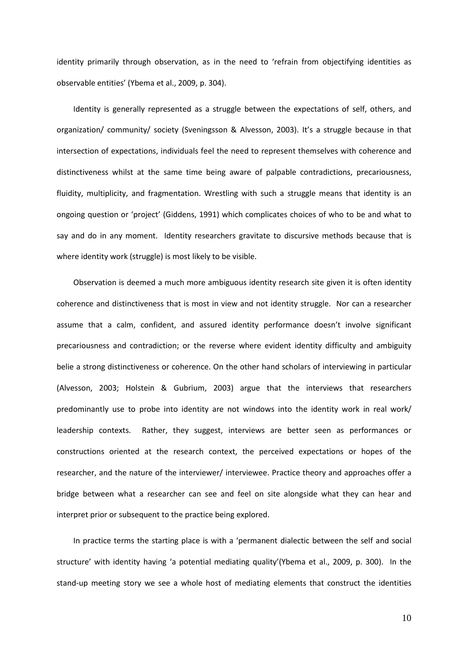identity primarily through observation, as in the need to 'refrain from objectifying identities as observable entities' (Ybema et al., 2009, p. 304).

Identity is generally represented as a struggle between the expectations of self, others, and organization/ community/ society (Sveningsson & Alvesson, 2003). It's a struggle because in that intersection of expectations, individuals feel the need to represent themselves with coherence and distinctiveness whilst at the same time being aware of palpable contradictions, precariousness, fluidity, multiplicity, and fragmentation. Wrestling with such a struggle means that identity is an ongoing question or 'project' (Giddens, 1991) which complicates choices of who to be and what to say and do in any moment. Identity researchers gravitate to discursive methods because that is where identity work (struggle) is most likely to be visible.

Observation is deemed a much more ambiguous identity research site given it is often identity coherence and distinctiveness that is most in view and not identity struggle. Nor can a researcher assume that a calm, confident, and assured identity performance doesn't involve significant precariousness and contradiction; or the reverse where evident identity difficulty and ambiguity belie a strong distinctiveness or coherence. On the other hand scholars of interviewing in particular (Alvesson, 2003; Holstein & Gubrium, 2003) argue that the interviews that researchers predominantly use to probe into identity are not windows into the identity work in real work/ leadership contexts. Rather, they suggest, interviews are better seen as performances or constructions oriented at the research context, the perceived expectations or hopes of the researcher, and the nature of the interviewer/ interviewee. Practice theory and approaches offer a bridge between what a researcher can see and feel on site alongside what they can hear and interpret prior or subsequent to the practice being explored.

In practice terms the starting place is with a 'permanent dialectic between the self and social structure' with identity having 'a potential mediating quality'(Ybema et al., 2009, p. 300). In the stand-up meeting story we see a whole host of mediating elements that construct the identities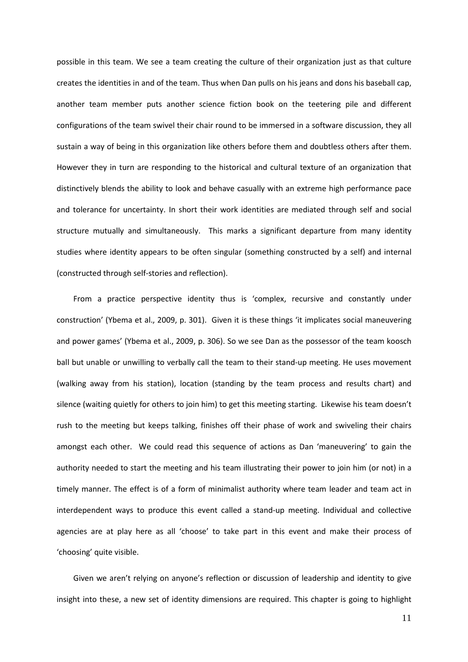possible in this team. We see a team creating the culture of their organization just as that culture creates the identities in and of the team. Thus when Dan pulls on his jeans and dons his baseball cap, another team member puts another science fiction book on the teetering pile and different configurations of the team swivel their chair round to be immersed in a software discussion, they all sustain a way of being in this organization like others before them and doubtless others after them. However they in turn are responding to the historical and cultural texture of an organization that distinctively blends the ability to look and behave casually with an extreme high performance pace and tolerance for uncertainty. In short their work identities are mediated through self and social structure mutually and simultaneously. This marks a significant departure from many identity studies where identity appears to be often singular (something constructed by a self) and internal (constructed through self-stories and reflection).

From a practice perspective identity thus is 'complex, recursive and constantly under construction' (Ybema et al., 2009, p. 301). Given it is these things 'it implicates social maneuvering and power games' (Ybema et al., 2009, p. 306). So we see Dan as the possessor of the team koosch ball but unable or unwilling to verbally call the team to their stand-up meeting. He uses movement (walking away from his station), location (standing by the team process and results chart) and silence (waiting quietly for others to join him) to get this meeting starting. Likewise his team doesn't rush to the meeting but keeps talking, finishes off their phase of work and swiveling their chairs amongst each other. We could read this sequence of actions as Dan 'maneuvering' to gain the authority needed to start the meeting and his team illustrating their power to join him (or not) in a timely manner. The effect is of a form of minimalist authority where team leader and team act in interdependent ways to produce this event called a stand-up meeting. Individual and collective agencies are at play here as all 'choose' to take part in this event and make their process of 'choosing' quite visible.

Given we aren't relying on anyone's reflection or discussion of leadership and identity to give insight into these, a new set of identity dimensions are required. This chapter is going to highlight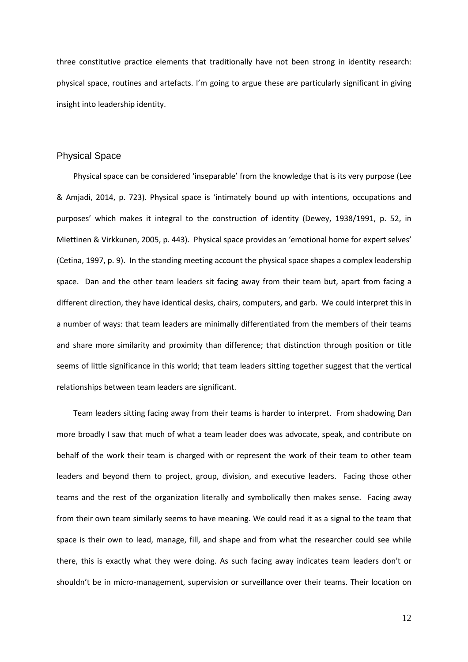three constitutive practice elements that traditionally have not been strong in identity research: physical space, routines and artefacts. I'm going to argue these are particularly significant in giving insight into leadership identity.

#### Physical Space

Physical space can be considered 'inseparable' from the knowledge that is its very purpose (Lee & Amjadi, 2014, p. 723). Physical space is 'intimately bound up with intentions, occupations and purposes' which makes it integral to the construction of identity (Dewey, 1938/1991, p. 52, in Miettinen & Virkkunen, 2005, p. 443). Physical space provides an 'emotional home for expert selves' (Cetina, 1997, p. 9). In the standing meeting account the physical space shapes a complex leadership space. Dan and the other team leaders sit facing away from their team but, apart from facing a different direction, they have identical desks, chairs, computers, and garb. We could interpret this in a number of ways: that team leaders are minimally differentiated from the members of their teams and share more similarity and proximity than difference; that distinction through position or title seems of little significance in this world; that team leaders sitting together suggest that the vertical relationships between team leaders are significant.

Team leaders sitting facing away from their teams is harder to interpret. From shadowing Dan more broadly I saw that much of what a team leader does was advocate, speak, and contribute on behalf of the work their team is charged with or represent the work of their team to other team leaders and beyond them to project, group, division, and executive leaders. Facing those other teams and the rest of the organization literally and symbolically then makes sense. Facing away from their own team similarly seems to have meaning. We could read it as a signal to the team that space is their own to lead, manage, fill, and shape and from what the researcher could see while there, this is exactly what they were doing. As such facing away indicates team leaders don't or shouldn't be in micro-management, supervision or surveillance over their teams. Their location on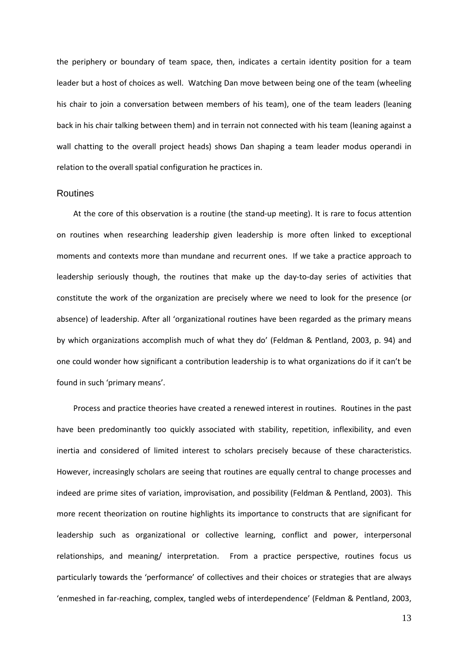the periphery or boundary of team space, then, indicates a certain identity position for a team leader but a host of choices as well. Watching Dan move between being one of the team (wheeling his chair to join a conversation between members of his team), one of the team leaders (leaning back in his chair talking between them) and in terrain not connected with his team (leaning against a wall chatting to the overall project heads) shows Dan shaping a team leader modus operandi in relation to the overall spatial configuration he practices in.

#### Routines

At the core of this observation is a routine (the stand-up meeting). It is rare to focus attention on routines when researching leadership given leadership is more often linked to exceptional moments and contexts more than mundane and recurrent ones. If we take a practice approach to leadership seriously though, the routines that make up the day-to-day series of activities that constitute the work of the organization are precisely where we need to look for the presence (or absence) of leadership. After all 'organizational routines have been regarded as the primary means by which organizations accomplish much of what they do' (Feldman & Pentland, 2003, p. 94) and one could wonder how significant a contribution leadership is to what organizations do if it can't be found in such 'primary means'.

Process and practice theories have created a renewed interest in routines. Routines in the past have been predominantly too quickly associated with stability, repetition, inflexibility, and even inertia and considered of limited interest to scholars precisely because of these characteristics. However, increasingly scholars are seeing that routines are equally central to change processes and indeed are prime sites of variation, improvisation, and possibility (Feldman & Pentland, 2003). This more recent theorization on routine highlights its importance to constructs that are significant for leadership such as organizational or collective learning, conflict and power, interpersonal relationships, and meaning/ interpretation. From a practice perspective, routines focus us particularly towards the 'performance' of collectives and their choices or strategies that are always 'enmeshed in far-reaching, complex, tangled webs of interdependence' (Feldman & Pentland, 2003,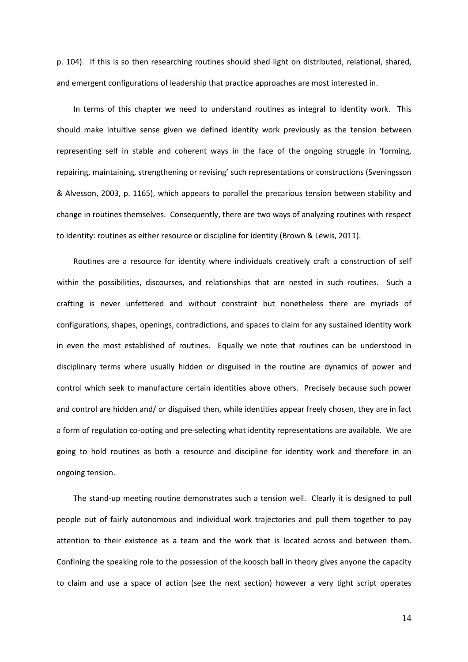p. 104). If this is so then researching routines should shed light on distributed, relational, shared, and emergent configurations of leadership that practice approaches are most interested in.

In terms of this chapter we need to understand routines as integral to identity work. This should make intuitive sense given we defined identity work previously as the tension between representing self in stable and coherent ways in the face of the ongoing struggle in 'forming, repairing, maintaining, strengthening or revising' such representations or constructions (Sveningsson & Alvesson, 2003, p. 1165), which appears to parallel the precarious tension between stability and change in routines themselves. Consequently, there are two ways of analyzing routines with respect to identity: routines as either resource or discipline for identity (Brown & Lewis, 2011).

Routines are a resource for identity where individuals creatively craft a construction of self within the possibilities, discourses, and relationships that are nested in such routines. Such a crafting is never unfettered and without constraint but nonetheless there are myriads of configurations, shapes, openings, contradictions, and spaces to claim for any sustained identity work in even the most established of routines. Equally we note that routines can be understood in disciplinary terms where usually hidden or disguised in the routine are dynamics of power and control which seek to manufacture certain identities above others. Precisely because such power and control are hidden and/ or disguised then, while identities appear freely chosen, they are in fact a form of regulation co-opting and pre-selecting what identity representations are available. We are going to hold routines as both a resource and discipline for identity work and therefore in an ongoing tension.

The stand-up meeting routine demonstrates such a tension well. Clearly it is designed to pull people out of fairly autonomous and individual work trajectories and pull them together to pay attention to their existence as a team and the work that is located across and between them. Confining the speaking role to the possession of the koosch ball in theory gives anyone the capacity to claim and use a space of action (see the next section) however a very tight script operates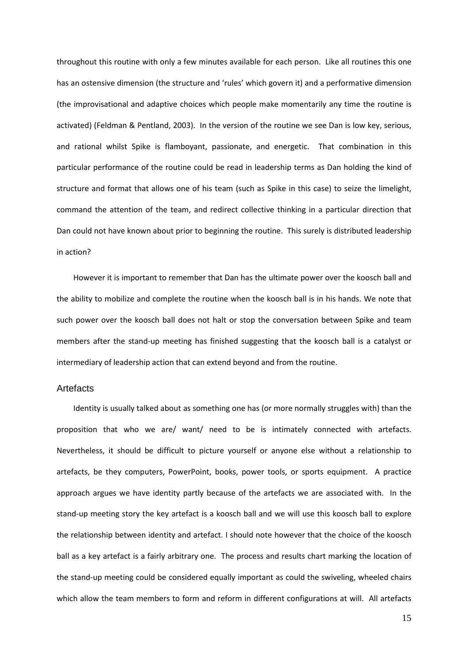throughout this routine with only a few minutes available for each person. Like all routines this one has an ostensive dimension (the structure and 'rules' which govern it) and a performative dimension (the improvisational and adaptive choices which people make momentarily any time the routine is activated) (Feldman & Pentland, 2003). In the version of the routine we see Dan is low key, serious, and rational whilst Spike is flamboyant, passionate, and energetic. That combination in this particular performance of the routine could be read in leadership terms as Dan holding the kind of structure and format that allows one of his team (such as Spike in this case) to seize the limelight, command the attention of the team, and redirect collective thinking in a particular direction that Dan could not have known about prior to beginning the routine. This surely is distributed leadership in action?

However it is important to remember that Dan has the ultimate power over the koosch ball and the ability to mobilize and complete the routine when the koosch ball is in his hands. We note that such power over the koosch ball does not halt or stop the conversation between Spike and team members after the stand-up meeting has finished suggesting that the koosch ball is a catalyst or intermediary of leadership action that can extend beyond and from the routine.

#### Artefacts

Identity is usually talked about as something one has (or more normally struggles with) than the proposition that who we are/ want/ need to be is intimately connected with artefacts. Nevertheless, it should be difficult to picture yourself or anyone else without a relationship to artefacts, be they computers, PowerPoint, books, power tools, or sports equipment. A practice approach argues we have identity partly because of the artefacts we are associated with. In the stand-up meeting story the key artefact is a koosch ball and we will use this koosch ball to explore the relationship between identity and artefact. I should note however that the choice of the koosch ball as a key artefact is a fairly arbitrary one. The process and results chart marking the location of the stand-up meeting could be considered equally important as could the swiveling, wheeled chairs which allow the team members to form and reform in different configurations at will. All artefacts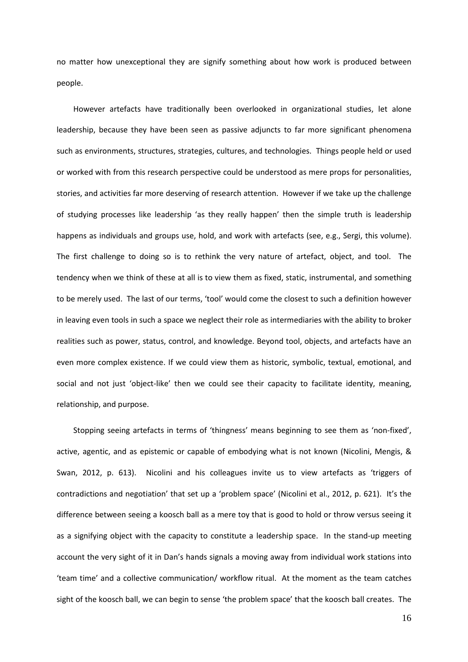no matter how unexceptional they are signify something about how work is produced between people.

However artefacts have traditionally been overlooked in organizational studies, let alone leadership, because they have been seen as passive adjuncts to far more significant phenomena such as environments, structures, strategies, cultures, and technologies. Things people held or used or worked with from this research perspective could be understood as mere props for personalities, stories, and activities far more deserving of research attention. However if we take up the challenge of studying processes like leadership 'as they really happen' then the simple truth is leadership happens as individuals and groups use, hold, and work with artefacts (see, e.g., Sergi, this volume). The first challenge to doing so is to rethink the very nature of artefact, object, and tool. The tendency when we think of these at all is to view them as fixed, static, instrumental, and something to be merely used. The last of our terms, 'tool' would come the closest to such a definition however in leaving even tools in such a space we neglect their role as intermediaries with the ability to broker realities such as power, status, control, and knowledge. Beyond tool, objects, and artefacts have an even more complex existence. If we could view them as historic, symbolic, textual, emotional, and social and not just 'object-like' then we could see their capacity to facilitate identity, meaning, relationship, and purpose.

Stopping seeing artefacts in terms of 'thingness' means beginning to see them as 'non-fixed', active, agentic, and as epistemic or capable of embodying what is not known (Nicolini, Mengis, & Swan, 2012, p. 613). Nicolini and his colleagues invite us to view artefacts as 'triggers of contradictions and negotiation' that set up a 'problem space' (Nicolini et al., 2012, p. 621). It's the difference between seeing a koosch ball as a mere toy that is good to hold or throw versus seeing it as a signifying object with the capacity to constitute a leadership space. In the stand-up meeting account the very sight of it in Dan's hands signals a moving away from individual work stations into 'team time' and a collective communication/ workflow ritual. At the moment as the team catches sight of the koosch ball, we can begin to sense 'the problem space' that the koosch ball creates. The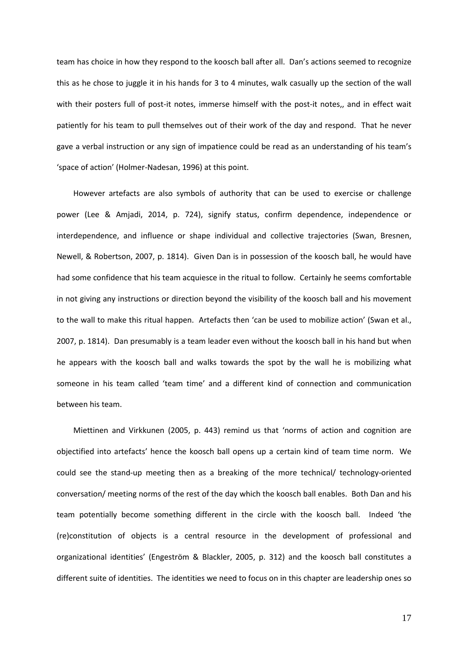team has choice in how they respond to the koosch ball after all. Dan's actions seemed to recognize this as he chose to juggle it in his hands for 3 to 4 minutes, walk casually up the section of the wall with their posters full of post-it notes, immerse himself with the post-it notes,, and in effect wait patiently for his team to pull themselves out of their work of the day and respond. That he never gave a verbal instruction or any sign of impatience could be read as an understanding of his team's 'space of action' (Holmer-Nadesan, 1996) at this point.

However artefacts are also symbols of authority that can be used to exercise or challenge power (Lee & Amjadi, 2014, p. 724), signify status, confirm dependence, independence or interdependence, and influence or shape individual and collective trajectories (Swan, Bresnen, Newell, & Robertson, 2007, p. 1814). Given Dan is in possession of the koosch ball, he would have had some confidence that his team acquiesce in the ritual to follow. Certainly he seems comfortable in not giving any instructions or direction beyond the visibility of the koosch ball and his movement to the wall to make this ritual happen. Artefacts then 'can be used to mobilize action' (Swan et al., 2007, p. 1814). Dan presumably is a team leader even without the koosch ball in his hand but when he appears with the koosch ball and walks towards the spot by the wall he is mobilizing what someone in his team called 'team time' and a different kind of connection and communication between his team.

Miettinen and Virkkunen (2005, p. 443) remind us that 'norms of action and cognition are objectified into artefacts' hence the koosch ball opens up a certain kind of team time norm. We could see the stand-up meeting then as a breaking of the more technical/ technology-oriented conversation/ meeting norms of the rest of the day which the koosch ball enables. Both Dan and his team potentially become something different in the circle with the koosch ball. Indeed 'the (re)constitution of objects is a central resource in the development of professional and organizational identities' (Engeström & Blackler, 2005, p. 312) and the koosch ball constitutes a different suite of identities. The identities we need to focus on in this chapter are leadership ones so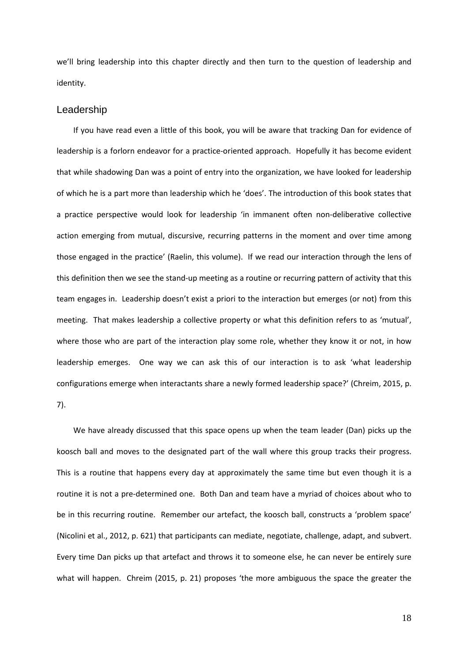we'll bring leadership into this chapter directly and then turn to the question of leadership and identity.

#### Leadership

If you have read even a little of this book, you will be aware that tracking Dan for evidence of leadership is a forlorn endeavor for a practice-oriented approach. Hopefully it has become evident that while shadowing Dan was a point of entry into the organization, we have looked for leadership of which he is a part more than leadership which he 'does'. The introduction of this book states that a practice perspective would look for leadership 'in immanent often non-deliberative collective action emerging from mutual, discursive, recurring patterns in the moment and over time among those engaged in the practice' (Raelin, this volume). If we read our interaction through the lens of this definition then we see the stand-up meeting as a routine or recurring pattern of activity that this team engages in. Leadership doesn't exist a priori to the interaction but emerges (or not) from this meeting. That makes leadership a collective property or what this definition refers to as 'mutual', where those who are part of the interaction play some role, whether they know it or not, in how leadership emerges. One way we can ask this of our interaction is to ask 'what leadership configurations emerge when interactants share a newly formed leadership space?' (Chreim, 2015, p. 7).

We have already discussed that this space opens up when the team leader (Dan) picks up the koosch ball and moves to the designated part of the wall where this group tracks their progress. This is a routine that happens every day at approximately the same time but even though it is a routine it is not a pre-determined one. Both Dan and team have a myriad of choices about who to be in this recurring routine. Remember our artefact, the koosch ball, constructs a 'problem space' (Nicolini et al., 2012, p. 621) that participants can mediate, negotiate, challenge, adapt, and subvert. Every time Dan picks up that artefact and throws it to someone else, he can never be entirely sure what will happen. Chreim (2015, p. 21) proposes 'the more ambiguous the space the greater the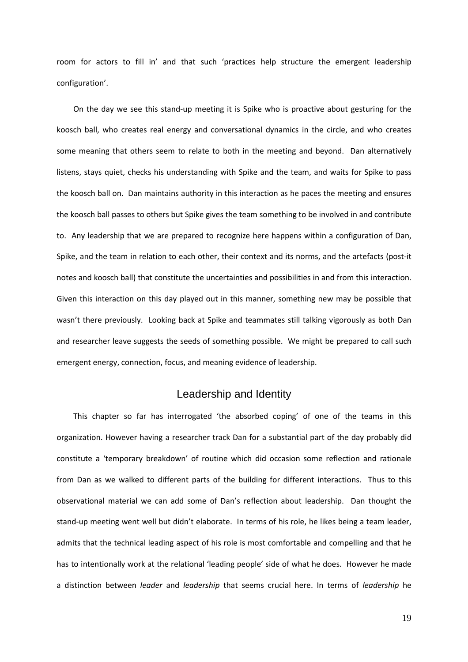room for actors to fill in' and that such 'practices help structure the emergent leadership configuration'.

On the day we see this stand-up meeting it is Spike who is proactive about gesturing for the koosch ball, who creates real energy and conversational dynamics in the circle, and who creates some meaning that others seem to relate to both in the meeting and beyond. Dan alternatively listens, stays quiet, checks his understanding with Spike and the team, and waits for Spike to pass the koosch ball on. Dan maintains authority in this interaction as he paces the meeting and ensures the koosch ball passes to others but Spike gives the team something to be involved in and contribute to. Any leadership that we are prepared to recognize here happens within a configuration of Dan, Spike, and the team in relation to each other, their context and its norms, and the artefacts (post-it notes and koosch ball) that constitute the uncertainties and possibilities in and from this interaction. Given this interaction on this day played out in this manner, something new may be possible that wasn't there previously. Looking back at Spike and teammates still talking vigorously as both Dan and researcher leave suggests the seeds of something possible. We might be prepared to call such emergent energy, connection, focus, and meaning evidence of leadership.

## Leadership and Identity

This chapter so far has interrogated 'the absorbed coping' of one of the teams in this organization. However having a researcher track Dan for a substantial part of the day probably did constitute a 'temporary breakdown' of routine which did occasion some reflection and rationale from Dan as we walked to different parts of the building for different interactions. Thus to this observational material we can add some of Dan's reflection about leadership. Dan thought the stand-up meeting went well but didn't elaborate. In terms of his role, he likes being a team leader, admits that the technical leading aspect of his role is most comfortable and compelling and that he has to intentionally work at the relational 'leading people' side of what he does. However he made a distinction between *leader* and *leadership* that seems crucial here. In terms of *leadership* he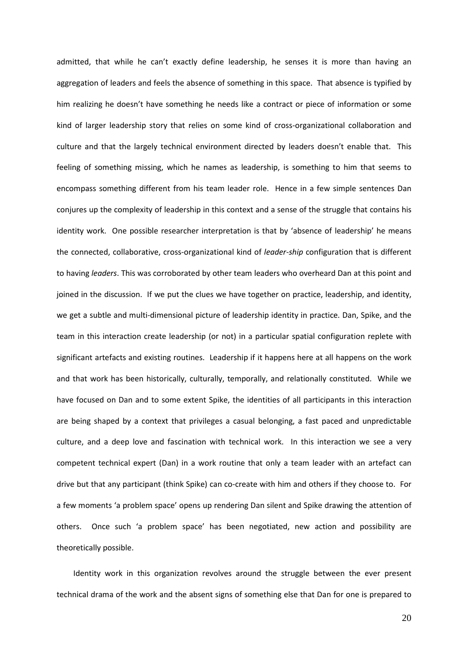admitted, that while he can't exactly define leadership, he senses it is more than having an aggregation of leaders and feels the absence of something in this space. That absence is typified by him realizing he doesn't have something he needs like a contract or piece of information or some kind of larger leadership story that relies on some kind of cross-organizational collaboration and culture and that the largely technical environment directed by leaders doesn't enable that. This feeling of something missing, which he names as leadership, is something to him that seems to encompass something different from his team leader role. Hence in a few simple sentences Dan conjures up the complexity of leadership in this context and a sense of the struggle that contains his identity work. One possible researcher interpretation is that by 'absence of leadership' he means the connected, collaborative, cross-organizational kind of *leader-ship* configuration that is different to having *leaders*. This was corroborated by other team leaders who overheard Dan at this point and joined in the discussion. If we put the clues we have together on practice, leadership, and identity, we get a subtle and multi-dimensional picture of leadership identity in practice. Dan, Spike, and the team in this interaction create leadership (or not) in a particular spatial configuration replete with significant artefacts and existing routines. Leadership if it happens here at all happens on the work and that work has been historically, culturally, temporally, and relationally constituted. While we have focused on Dan and to some extent Spike, the identities of all participants in this interaction are being shaped by a context that privileges a casual belonging, a fast paced and unpredictable culture, and a deep love and fascination with technical work. In this interaction we see a very competent technical expert (Dan) in a work routine that only a team leader with an artefact can drive but that any participant (think Spike) can co-create with him and others if they choose to. For a few moments 'a problem space' opens up rendering Dan silent and Spike drawing the attention of others. Once such 'a problem space' has been negotiated, new action and possibility are theoretically possible.

Identity work in this organization revolves around the struggle between the ever present technical drama of the work and the absent signs of something else that Dan for one is prepared to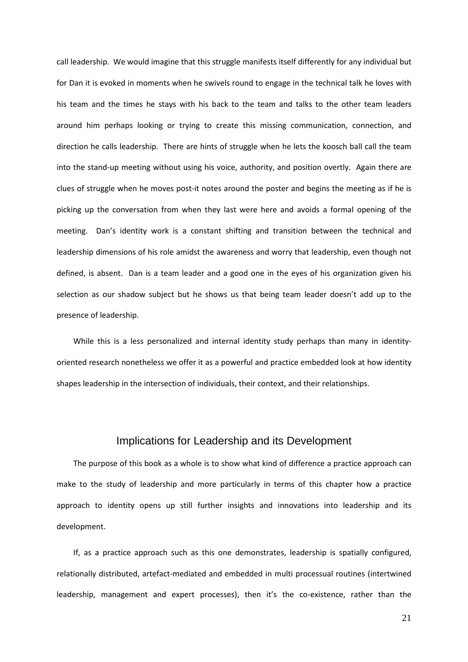call leadership. We would imagine that this struggle manifests itself differently for any individual but for Dan it is evoked in moments when he swivels round to engage in the technical talk he loves with his team and the times he stays with his back to the team and talks to the other team leaders around him perhaps looking or trying to create this missing communication, connection, and direction he calls leadership. There are hints of struggle when he lets the koosch ball call the team into the stand-up meeting without using his voice, authority, and position overtly. Again there are clues of struggle when he moves post-it notes around the poster and begins the meeting as if he is picking up the conversation from when they last were here and avoids a formal opening of the meeting. Dan's identity work is a constant shifting and transition between the technical and leadership dimensions of his role amidst the awareness and worry that leadership, even though not defined, is absent. Dan is a team leader and a good one in the eyes of his organization given his selection as our shadow subject but he shows us that being team leader doesn't add up to the presence of leadership.

While this is a less personalized and internal identity study perhaps than many in identityoriented research nonetheless we offer it as a powerful and practice embedded look at how identity shapes leadership in the intersection of individuals, their context, and their relationships.

## Implications for Leadership and its Development

The purpose of this book as a whole is to show what kind of difference a practice approach can make to the study of leadership and more particularly in terms of this chapter how a practice approach to identity opens up still further insights and innovations into leadership and its development.

If, as a practice approach such as this one demonstrates, leadership is spatially configured, relationally distributed, artefact-mediated and embedded in multi processual routines (intertwined leadership, management and expert processes), then it's the co-existence, rather than the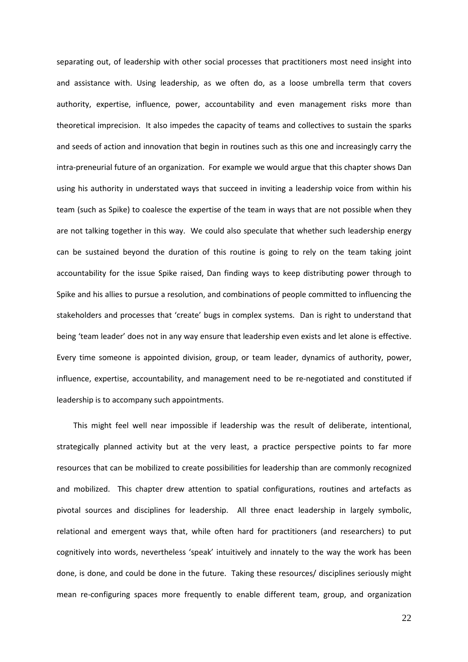separating out, of leadership with other social processes that practitioners most need insight into and assistance with. Using leadership, as we often do, as a loose umbrella term that covers authority, expertise, influence, power, accountability and even management risks more than theoretical imprecision. It also impedes the capacity of teams and collectives to sustain the sparks and seeds of action and innovation that begin in routines such as this one and increasingly carry the intra-preneurial future of an organization. For example we would argue that this chapter shows Dan using his authority in understated ways that succeed in inviting a leadership voice from within his team (such as Spike) to coalesce the expertise of the team in ways that are not possible when they are not talking together in this way. We could also speculate that whether such leadership energy can be sustained beyond the duration of this routine is going to rely on the team taking joint accountability for the issue Spike raised, Dan finding ways to keep distributing power through to Spike and his allies to pursue a resolution, and combinations of people committed to influencing the stakeholders and processes that 'create' bugs in complex systems. Dan is right to understand that being 'team leader' does not in any way ensure that leadership even exists and let alone is effective. Every time someone is appointed division, group, or team leader, dynamics of authority, power, influence, expertise, accountability, and management need to be re-negotiated and constituted if leadership is to accompany such appointments.

This might feel well near impossible if leadership was the result of deliberate, intentional, strategically planned activity but at the very least, a practice perspective points to far more resources that can be mobilized to create possibilities for leadership than are commonly recognized and mobilized. This chapter drew attention to spatial configurations, routines and artefacts as pivotal sources and disciplines for leadership. All three enact leadership in largely symbolic, relational and emergent ways that, while often hard for practitioners (and researchers) to put cognitively into words, nevertheless 'speak' intuitively and innately to the way the work has been done, is done, and could be done in the future. Taking these resources/ disciplines seriously might mean re-configuring spaces more frequently to enable different team, group, and organization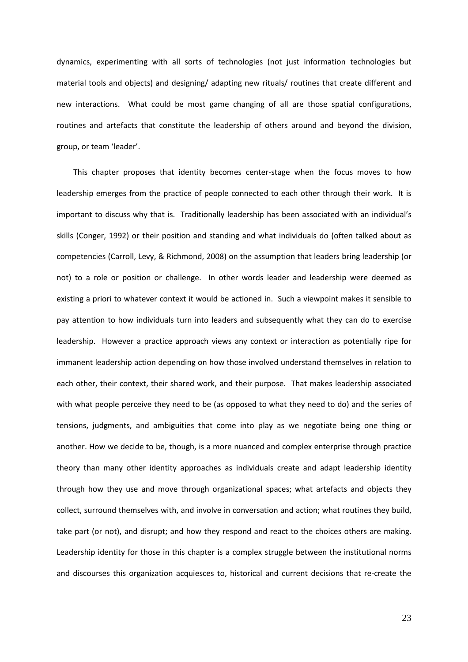dynamics, experimenting with all sorts of technologies (not just information technologies but material tools and objects) and designing/ adapting new rituals/ routines that create different and new interactions. What could be most game changing of all are those spatial configurations, routines and artefacts that constitute the leadership of others around and beyond the division, group, or team 'leader'.

This chapter proposes that identity becomes center-stage when the focus moves to how leadership emerges from the practice of people connected to each other through their work. It is important to discuss why that is. Traditionally leadership has been associated with an individual's skills (Conger, 1992) or their position and standing and what individuals do (often talked about as competencies (Carroll, Levy, & Richmond, 2008) on the assumption that leaders bring leadership (or not) to a role or position or challenge. In other words leader and leadership were deemed as existing a priori to whatever context it would be actioned in. Such a viewpoint makes it sensible to pay attention to how individuals turn into leaders and subsequently what they can do to exercise leadership. However a practice approach views any context or interaction as potentially ripe for immanent leadership action depending on how those involved understand themselves in relation to each other, their context, their shared work, and their purpose. That makes leadership associated with what people perceive they need to be (as opposed to what they need to do) and the series of tensions, judgments, and ambiguities that come into play as we negotiate being one thing or another. How we decide to be, though, is a more nuanced and complex enterprise through practice theory than many other identity approaches as individuals create and adapt leadership identity through how they use and move through organizational spaces; what artefacts and objects they collect, surround themselves with, and involve in conversation and action; what routines they build, take part (or not), and disrupt; and how they respond and react to the choices others are making. Leadership identity for those in this chapter is a complex struggle between the institutional norms and discourses this organization acquiesces to, historical and current decisions that re-create the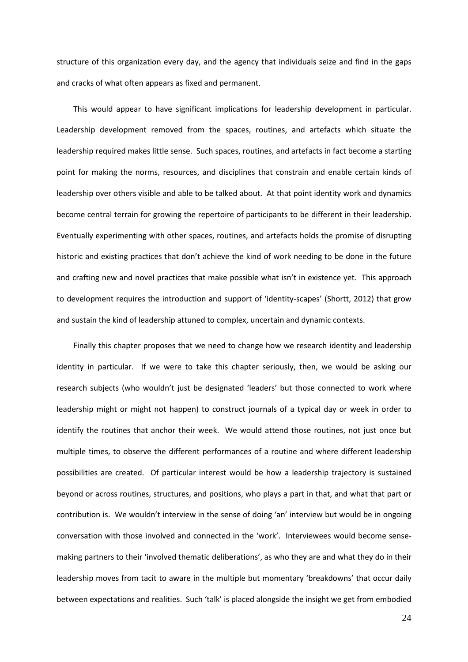structure of this organization every day, and the agency that individuals seize and find in the gaps and cracks of what often appears as fixed and permanent.

This would appear to have significant implications for leadership development in particular. Leadership development removed from the spaces, routines, and artefacts which situate the leadership required makes little sense. Such spaces, routines, and artefacts in fact become a starting point for making the norms, resources, and disciplines that constrain and enable certain kinds of leadership over others visible and able to be talked about. At that point identity work and dynamics become central terrain for growing the repertoire of participants to be different in their leadership. Eventually experimenting with other spaces, routines, and artefacts holds the promise of disrupting historic and existing practices that don't achieve the kind of work needing to be done in the future and crafting new and novel practices that make possible what isn't in existence yet. This approach to development requires the introduction and support of 'identity-scapes' (Shortt, 2012) that grow and sustain the kind of leadership attuned to complex, uncertain and dynamic contexts.

Finally this chapter proposes that we need to change how we research identity and leadership identity in particular. If we were to take this chapter seriously, then, we would be asking our research subjects (who wouldn't just be designated 'leaders' but those connected to work where leadership might or might not happen) to construct journals of a typical day or week in order to identify the routines that anchor their week. We would attend those routines, not just once but multiple times, to observe the different performances of a routine and where different leadership possibilities are created. Of particular interest would be how a leadership trajectory is sustained beyond or across routines, structures, and positions, who plays a part in that, and what that part or contribution is. We wouldn't interview in the sense of doing 'an' interview but would be in ongoing conversation with those involved and connected in the 'work'. Interviewees would become sensemaking partners to their 'involved thematic deliberations', as who they are and what they do in their leadership moves from tacit to aware in the multiple but momentary 'breakdowns' that occur daily between expectations and realities. Such 'talk' is placed alongside the insight we get from embodied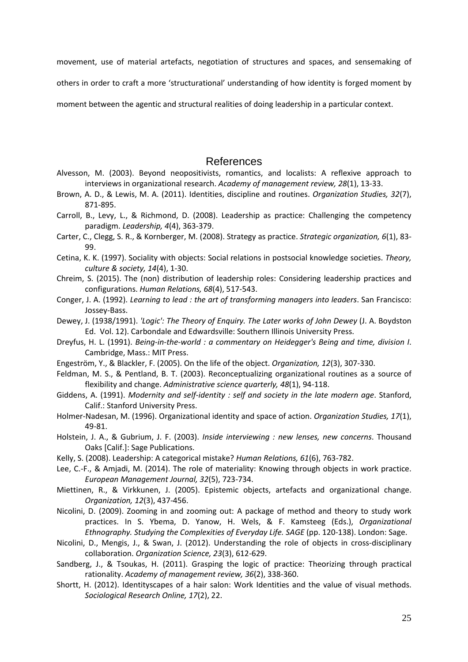movement, use of material artefacts, negotiation of structures and spaces, and sensemaking of

others in order to craft a more 'structurational' understanding of how identity is forged moment by

moment between the agentic and structural realities of doing leadership in a particular context.

# References

- Alvesson, M. (2003). Beyond neopositivists, romantics, and localists: A reflexive approach to interviews in organizational research. *Academy of management review, 28*(1), 13-33.
- Brown, A. D., & Lewis, M. A. (2011). Identities, discipline and routines. *Organization Studies, 32*(7), 871-895.
- Carroll, B., Levy, L., & Richmond, D. (2008). Leadership as practice: Challenging the competency paradigm. *Leadership, 4*(4), 363-379.
- Carter, C., Clegg, S. R., & Kornberger, M. (2008). Strategy as practice. *Strategic organization, 6*(1), 83- 99.
- Cetina, K. K. (1997). Sociality with objects: Social relations in postsocial knowledge societies. *Theory, culture & society, 14*(4), 1-30.
- Chreim, S. (2015). The (non) distribution of leadership roles: Considering leadership practices and configurations. *Human Relations, 68*(4), 517-543.
- Conger, J. A. (1992). *Learning to lead : the art of transforming managers into leaders*. San Francisco: Jossey-Bass.
- Dewey, J. (1938/1991). *'Logic': The Theory of Enquiry. The Later works of John Dewey* (J. A. Boydston Ed. Vol. 12). Carbondale and Edwardsville: Southern Illinois University Press.
- Dreyfus, H. L. (1991). *Being-in-the-world : a commentary on Heidegger's Being and time, division I*. Cambridge, Mass.: MIT Press.
- Engeström, Y., & Blackler, F. (2005). On the life of the object. *Organization, 12*(3), 307-330.
- Feldman, M. S., & Pentland, B. T. (2003). Reconceptualizing organizational routines as a source of flexibility and change. *Administrative science quarterly, 48*(1), 94-118.
- Giddens, A. (1991). *Modernity and self-identity : self and society in the late modern age*. Stanford, Calif.: Stanford University Press.
- Holmer-Nadesan, M. (1996). Organizational identity and space of action. *Organization Studies, 17*(1), 49-81.
- Holstein, J. A., & Gubrium, J. F. (2003). *Inside interviewing : new lenses, new concerns*. Thousand Oaks [Calif.]: Sage Publications.
- Kelly, S. (2008). Leadership: A categorical mistake? *Human Relations, 61*(6), 763-782.
- Lee, C.-F., & Amjadi, M. (2014). The role of materiality: Knowing through objects in work practice. *European Management Journal, 32*(5), 723-734.
- Miettinen, R., & Virkkunen, J. (2005). Epistemic objects, artefacts and organizational change. *Organization, 12*(3), 437-456.
- Nicolini, D. (2009). Zooming in and zooming out: A package of method and theory to study work practices. In S. Ybema, D. Yanow, H. Wels, & F. Kamsteeg (Eds.), *Organizational Ethnography. Studying the Complexities of Everyday Life. SAGE* (pp. 120-138). London: Sage.
- Nicolini, D., Mengis, J., & Swan, J. (2012). Understanding the role of objects in cross-disciplinary collaboration. *Organization Science, 23*(3), 612-629.
- Sandberg, J., & Tsoukas, H. (2011). Grasping the logic of practice: Theorizing through practical rationality. *Academy of management review, 36*(2), 338-360.
- Shortt, H. (2012). Identityscapes of a hair salon: Work Identities and the value of visual methods. *Sociological Research Online, 17*(2), 22.